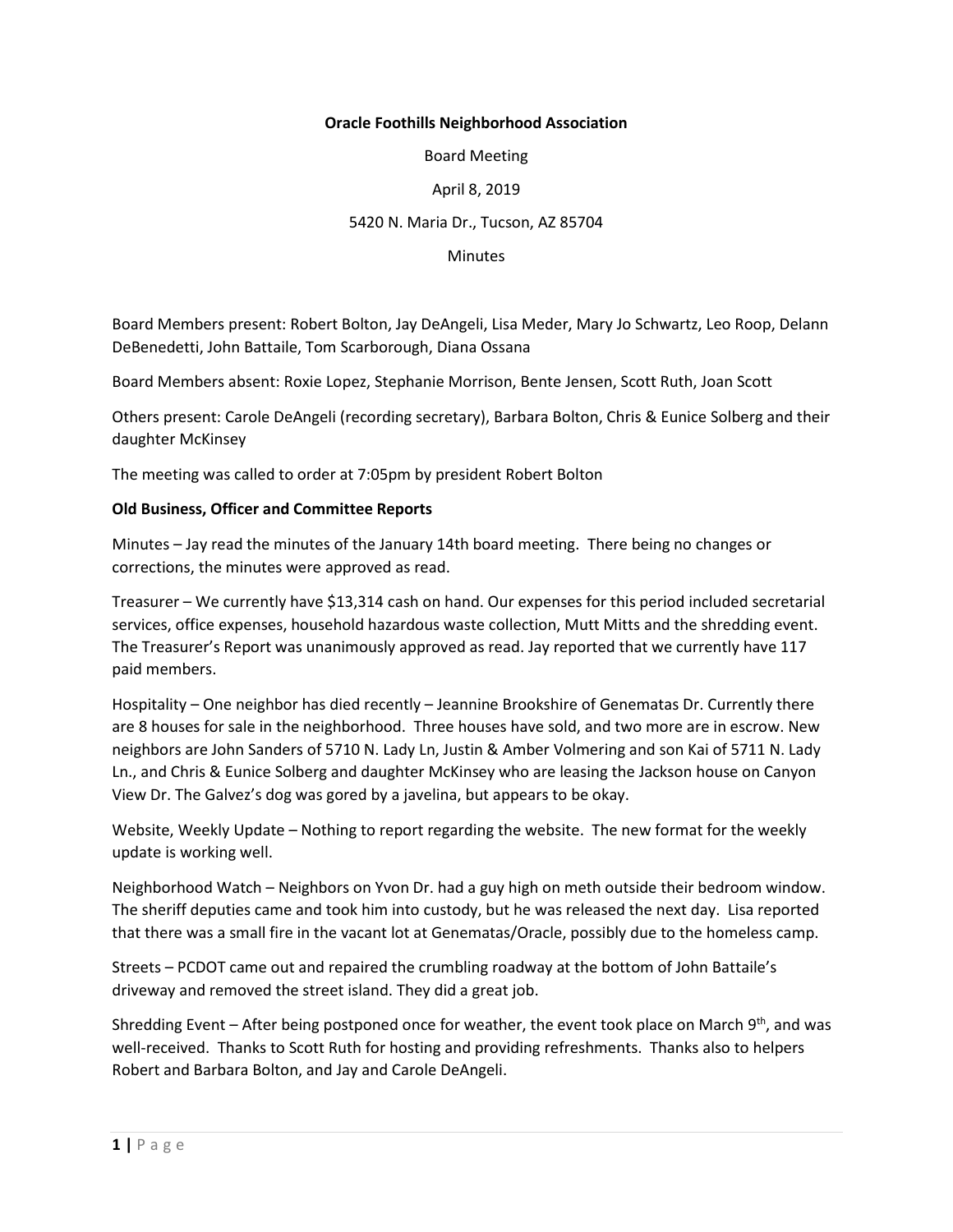## **Oracle Foothills Neighborhood Association**

Board Meeting

## April 8, 2019

## 5420 N. Maria Dr., Tucson, AZ 85704

#### **Minutes**

Board Members present: Robert Bolton, Jay DeAngeli, Lisa Meder, Mary Jo Schwartz, Leo Roop, Delann DeBenedetti, John Battaile, Tom Scarborough, Diana Ossana

Board Members absent: Roxie Lopez, Stephanie Morrison, Bente Jensen, Scott Ruth, Joan Scott

Others present: Carole DeAngeli (recording secretary), Barbara Bolton, Chris & Eunice Solberg and their daughter McKinsey

The meeting was called to order at 7:05pm by president Robert Bolton

### **Old Business, Officer and Committee Reports**

Minutes – Jay read the minutes of the January 14th board meeting. There being no changes or corrections, the minutes were approved as read.

Treasurer – We currently have \$13,314 cash on hand. Our expenses for this period included secretarial services, office expenses, household hazardous waste collection, Mutt Mitts and the shredding event. The Treasurer's Report was unanimously approved as read. Jay reported that we currently have 117 paid members.

Hospitality – One neighbor has died recently – Jeannine Brookshire of Genematas Dr. Currently there are 8 houses for sale in the neighborhood. Three houses have sold, and two more are in escrow. New neighbors are John Sanders of 5710 N. Lady Ln, Justin & Amber Volmering and son Kai of 5711 N. Lady Ln., and Chris & Eunice Solberg and daughter McKinsey who are leasing the Jackson house on Canyon View Dr. The Galvez's dog was gored by a javelina, but appears to be okay.

Website, Weekly Update – Nothing to report regarding the website. The new format for the weekly update is working well.

Neighborhood Watch – Neighbors on Yvon Dr. had a guy high on meth outside their bedroom window. The sheriff deputies came and took him into custody, but he was released the next day. Lisa reported that there was a small fire in the vacant lot at Genematas/Oracle, possibly due to the homeless camp.

Streets – PCDOT came out and repaired the crumbling roadway at the bottom of John Battaile's driveway and removed the street island. They did a great job.

Shredding Event – After being postponed once for weather, the event took place on March 9<sup>th</sup>, and was well-received. Thanks to Scott Ruth for hosting and providing refreshments. Thanks also to helpers Robert and Barbara Bolton, and Jay and Carole DeAngeli.